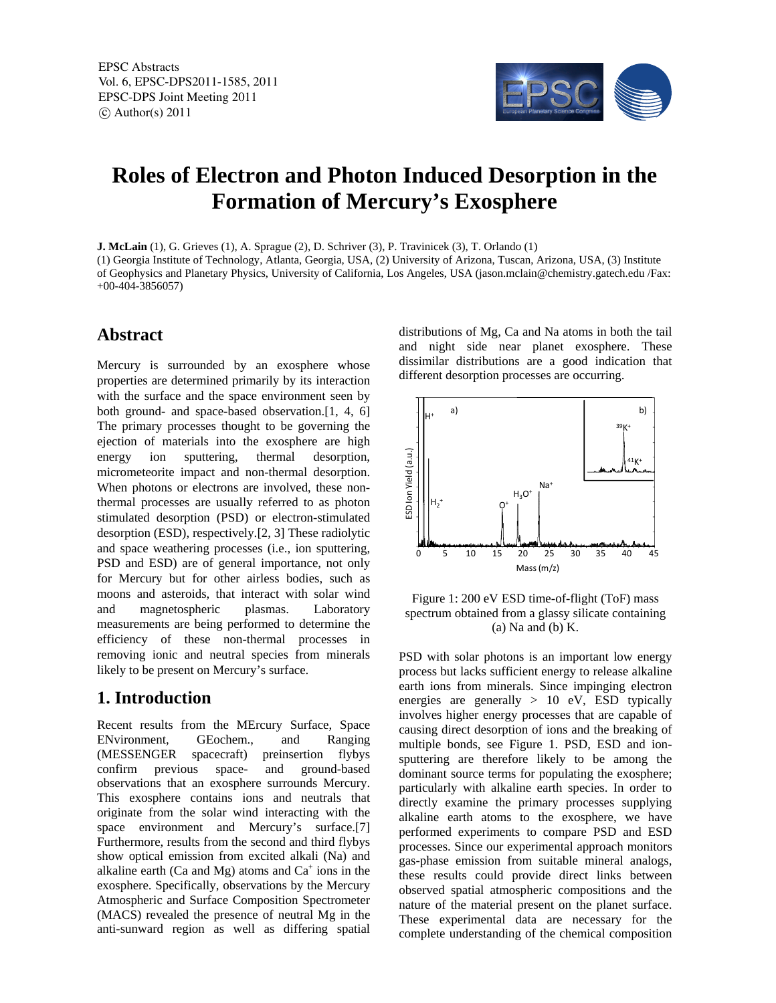

# **Roles of Electron and Photon Induced Desorption in the Formation of Mercury's Exosphere**

**J. McLain** (1), G. Grieves (1), A. Sprague (2), D. Schriver (3), P. Travinicek (3), T. Orlando (1) (1) Georgia Institute of Technology, Atlanta, Georgia, USA, (2) University of Arizona, Tuscan, Arizona, USA, (3) Institute of Geophysics and Planetary Physics, University of California, Los Angeles, USA (jason.mclain@chemistry.gatech.edu /Fax: +00-404-3856057)

#### **Abstract**

Mercury is surrounded by an exosphere whose properties are determined primarily by its interaction with the surface and the space environment seen by both ground- and space-based observation.[1, 4, 6] The primary processes thought to be governing the ejection of materials into the exosphere are high energy ion sputtering, thermal desorption, micrometeorite impact and non-thermal desorption. When photons or electrons are involved, these nonthermal processes are usually referred to as photon stimulated desorption (PSD) or electron-stimulated desorption (ESD), respectively.[2, 3] These radiolytic and space weathering processes (i.e., ion sputtering, PSD and ESD) are of general importance, not only for Mercury but for other airless bodies, such as moons and asteroids, that interact with solar wind and magnetospheric plasmas. Laboratory measurements are being performed to determine the efficiency of these non-thermal processes in removing ionic and neutral species from minerals likely to be present on Mercury's surface.

### **1. Introduction**

Recent results from the MErcury Surface, Space ENvironment, GEochem., and Ranging (MESSENGER spacecraft) preinsertion flybys confirm previous space- and ground-based observations that an exosphere surrounds Mercury. This exosphere contains ions and neutrals that originate from the solar wind interacting with the space environment and Mercury's surface.[7] Furthermore, results from the second and third flybys show optical emission from excited alkali (Na) and alkaline earth (Ca and Mg) atoms and  $Ca^+$  ions in the exosphere. Specifically, observations by the Mercury Atmospheric and Surface Composition Spectrometer (MACS) revealed the presence of neutral Mg in the anti-sunward region as well as differing spatial

distributions of Mg, Ca and Na atoms in both the tail and night side near planet exosphere. These dissimilar distributions are a good indication that different desorption processes are occurring.



Figure 1: 200 eV ESD time-of-flight (ToF) mass spectrum obtained from a glassy silicate containing (a) Na and (b) K.

PSD with solar photons is an important low energy process but lacks sufficient energy to release alkaline earth ions from minerals. Since impinging electron energies are generally > 10 eV, ESD typically involves higher energy processes that are capable of causing direct desorption of ions and the breaking of multiple bonds, see Figure 1. PSD, ESD and ionsputtering are therefore likely to be among the dominant source terms for populating the exosphere; particularly with alkaline earth species. In order to directly examine the primary processes supplying alkaline earth atoms to the exosphere, we have performed experiments to compare PSD and ESD processes. Since our experimental approach monitors gas-phase emission from suitable mineral analogs, these results could provide direct links between observed spatial atmospheric compositions and the nature of the material present on the planet surface. These experimental data are necessary for the complete understanding of the chemical composition